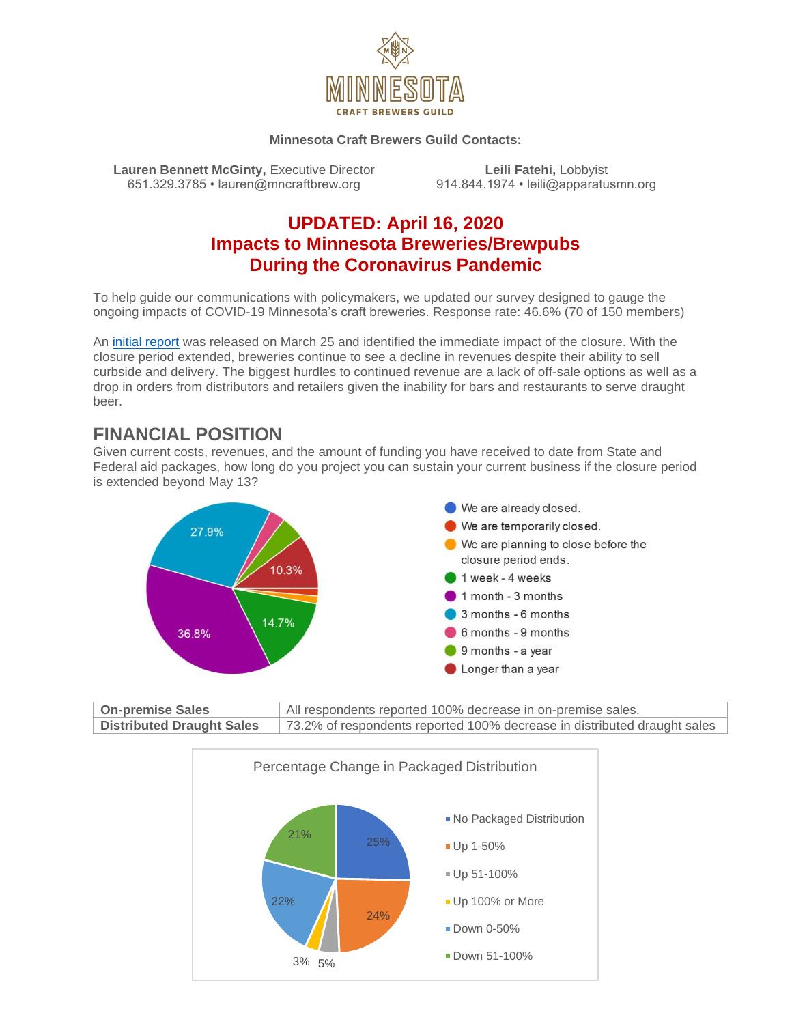

#### **Minnesota Craft Brewers Guild Contacts:**

**Lauren Bennett McGinty,** Executive Director **Leili Fatehi,** Lobbyist **Cauren Bennett McGinty, Executive Director Cauren Control Control Control Control Control Control Control Control Control Control Control Control Con** 651.329.3785 • lauren@mncraftbrew.org

### **UPDATED: April 16, 2020 Impacts to Minnesota Breweries/Brewpubs During the Coronavirus Pandemic**

To help guide our communications with policymakers, we updated our survey designed to gauge the ongoing impacts of COVID-19 Minnesota's craft breweries. Response rate: 46.6% (70 of 150 members)

An [initial report](https://www.mncraftbrew.org/wp-content/uploads/2020/03/MNCBG-COVID-19-Impact-Report.pdf) was released on March 25 and identified the immediate impact of the closure. With the closure period extended, breweries continue to see a decline in revenues despite their ability to sell curbside and delivery. The biggest hurdles to continued revenue are a lack of off-sale options as well as a drop in orders from distributors and retailers given the inability for bars and restaurants to serve draught beer.

### **FINANCIAL POSITION**

Given current costs, revenues, and the amount of funding you have received to date from State and Federal aid packages, how long do you project you can sustain your current business if the closure period is extended beyond May 13?



| <b>On-premise Sales</b>          | All respondents reported 100% decrease in on-premise sales.              |
|----------------------------------|--------------------------------------------------------------------------|
| <b>Distributed Draught Sales</b> | 73.2% of respondents reported 100% decrease in distributed draught sales |

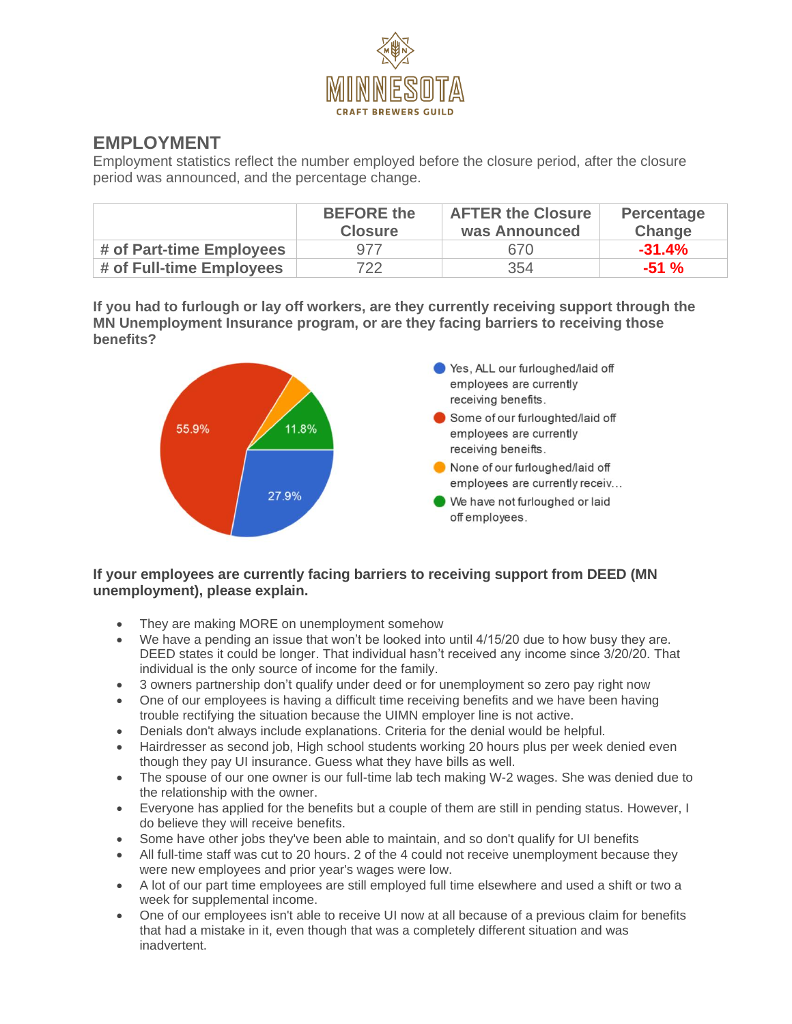

# **EMPLOYMENT**

Employment statistics reflect the number employed before the closure period, after the closure period was announced, and the percentage change.

|                          | <b>BEFORE</b> the<br><b>Closure</b> | <b>AFTER the Closure</b><br>was Announced | Percentage<br><b>Change</b> |
|--------------------------|-------------------------------------|-------------------------------------------|-----------------------------|
| # of Part-time Employees | 977                                 | 670.                                      | $-31.4%$                    |
| # of Full-time Employees | 722                                 | 354                                       | $-51 \%$                    |

**If you had to furlough or lay off workers, are they currently receiving support through the MN Unemployment Insurance program, or are they facing barriers to receiving those benefits?**



#### **If your employees are currently facing barriers to receiving support from DEED (MN unemployment), please explain.**

- They are making MORE on unemployment somehow
- We have a pending an issue that won't be looked into until 4/15/20 due to how busy they are. DEED states it could be longer. That individual hasn't received any income since 3/20/20. That individual is the only source of income for the family.
- 3 owners partnership don't qualify under deed or for unemployment so zero pay right now
- One of our employees is having a difficult time receiving benefits and we have been having trouble rectifying the situation because the UIMN employer line is not active.
- Denials don't always include explanations. Criteria for the denial would be helpful.
- Hairdresser as second job, High school students working 20 hours plus per week denied even though they pay UI insurance. Guess what they have bills as well.
- The spouse of our one owner is our full-time lab tech making W-2 wages. She was denied due to the relationship with the owner.
- Everyone has applied for the benefits but a couple of them are still in pending status. However, I do believe they will receive benefits.
- Some have other jobs they've been able to maintain, and so don't qualify for UI benefits
- All full-time staff was cut to 20 hours. 2 of the 4 could not receive unemployment because they were new employees and prior year's wages were low.
- A lot of our part time employees are still employed full time elsewhere and used a shift or two a week for supplemental income.
- One of our employees isn't able to receive UI now at all because of a previous claim for benefits that had a mistake in it, even though that was a completely different situation and was inadvertent.